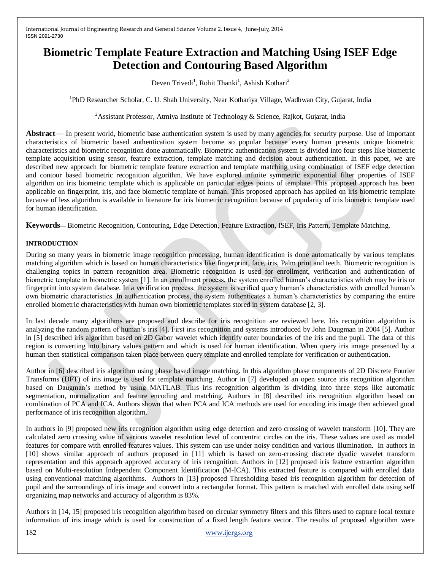# **Biometric Template Feature Extraction and Matching Using ISEF Edge Detection and Contouring Based Algorithm**

Deven Trivedi<sup>1</sup>, Rohit Thanki<sup>1</sup>, Ashish Kothari<sup>2</sup>

<sup>1</sup>PhD Researcher Scholar, C. U. Shah University, Near Kothariya Village, Wadhwan City, Gujarat, India

<sup>2</sup> Assistant Professor, Atmiya Institute of Technology & Science, Rajkot, Gujarat, India

**Abstract**— In present world, biometric base authentication system is used by many agencies for security purpose. Use of important characteristics of biometric based authentication system become so popular because every human presents unique biometric characteristics and biometric recognition done automatically. Biometric authentication system is divided into four steps like biometric template acquisition using sensor, feature extraction, template matching and decision about authentication. In this paper, we are described new approach for biometric template feature extraction and template matching using combination of ISEF edge detection and contour based biometric recognition algorithm. We have explored infinite symmetric exponential filter properties of ISEF algorithm on iris biometric template which is applicable on particular edges points of template. This proposed approach has been applicable on fingerprint, iris, and face biometric template of human. This proposed approach has applied on iris biometric template because of less algorithm is available in literature for iris biometric recognition because of popularity of iris biometric template used for human identification.

**Keywords**— Biometric Recognition, Contouring, Edge Detection, Feature Extraction, ISEF, Iris Pattern, Template Matching.

## **INTRODUCTION**

During so many years in biometric image recognition processing, human identification is done automatically by various templates matching algorithm which is based on human characteristics like fingerprint, face, iris, Palm print and teeth. Biometric recognition is challenging topics in pattern recognition area. Biometric recognition is used for enrollment, verification and authentication of biometric template in biometric system [1]. In an enrollment process, the system enrolled human's characteristics which may be iris or fingerprint into system database. In a verification process, the system is verified query human's characteristics with enrolled human's own biometric characteristics. In authentication process, the system authenticates a human's characteristics by comparing the entire enrolled biometric characteristics with human own biometric templates stored in system database [2, 3].

In last decade many algorithms are proposed and describe for iris recognition are reviewed here. Iris recognition algorithm is analyzing the random pattern of human's iris [4]. First iris recognition and systems introduced by John Daugman in 2004 [5]. Author in [5] described iris algorithm based on 2D Gabor wavelet which identify outer boundaries of the iris and the pupil. The data of this region is converting into binary values pattern and which is used for human identification. When query iris image presented by a human then statistical comparison taken place between query template and enrolled template for verification or authentication.

Author in [6] described iris algorithm using phase based image matching. In this algorithm phase components of 2D Discrete Fourier Transforms (DFT) of iris image is used for template matching. Author in [7] developed an open source iris recognition algorithm based on Daugman's method by using MATLAB. This iris recognition algorithm is dividing into three steps like automatic segmentation, normalization and feature encoding and matching. Authors in [8] described iris recognition algorithm based on combination of PCA and ICA. Authors shown that when PCA and ICA methods are used for encoding iris image then achieved good performance of iris recognition algorithm.

In authors in [9] proposed new iris recognition algorithm using edge detection and zero crossing of wavelet transform [10]. They are calculated zero crossing value of various wavelet resolution level of concentric circles on the iris. These values are used as model features for compare with enrolled features values. This system can use under noisy condition and various illumination. In authors in [10] shows similar approach of authors proposed in [11] which is based on zero-crossing discrete dyadic wavelet transform representation and this approach approved accuracy of iris recognition. Authors in [12] proposed iris feature extraction algorithm based on Multi-resolution Independent Component Identification (M-ICA). This extracted feature is compared with enrolled data using conventional matching algorithms. Authors in [13] proposed Thresholding based iris recognition algorithm for detection of pupil and the surroundings of iris image and convert into a rectangular format. This pattern is matched with enrolled data using self organizing map networks and accuracy of algorithm is 83%.

Authors in [14, 15] proposed iris recognition algorithm based on circular symmetry filters and this filters used to capture local texture information of iris image which is used for construction of a fixed length feature vector. The results of proposed algorithm were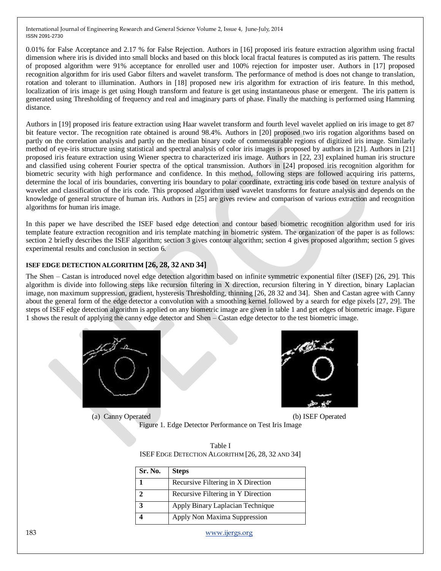0.01% for False Acceptance and 2.17 % for False Rejection. Authors in [16] proposed iris feature extraction algorithm using fractal dimension where iris is divided into small blocks and based on this block local fractal features is computed as iris pattern. The results of proposed algorithm were 91% acceptance for enrolled user and 100% rejection for imposter user. Authors in [17] proposed recognition algorithm for iris used Gabor filters and wavelet transform. The performance of method is does not change to translation, rotation and tolerant to illumination. Authors in [18] proposed new iris algorithm for extraction of iris feature. In this method, localization of iris image is get using Hough transform and feature is get using instantaneous phase or emergent. The iris pattern is generated using Thresholding of frequency and real and imaginary parts of phase. Finally the matching is performed using Hamming distance.

Authors in [19] proposed iris feature extraction using Haar wavelet transform and fourth level wavelet applied on iris image to get 87 bit feature vector. The recognition rate obtained is around 98.4%. Authors in [20] proposed two iris rogation algorithms based on partly on the correlation analysis and partly on the median binary code of commensurable regions of digitized iris image. Similarly method of eye-iris structure using statistical and spectral analysis of color iris images is proposed by authors in [21]. Authors in [21] proposed iris feature extraction using Wiener spectra to characterized iris image. Authors in [22, 23] explained human iris structure and classified using coherent Fourier spectra of the optical transmission. Authors in [24] proposed iris recognition algorithm for biometric security with high performance and confidence. In this method, following steps are followed acquiring iris patterns, determine the local of iris boundaries, converting iris boundary to polar coordinate, extracting iris code based on texture analysis of wavelet and classification of the iris code. This proposed algorithm used wavelet transforms for feature analysis and depends on the knowledge of general structure of human iris. Authors in [25] are gives review and comparison of various extraction and recognition algorithms for human iris image.

In this paper we have described the ISEF based edge detection and contour based biometric recognition algorithm used for iris template feature extraction recognition and iris template matching in biometric system. The organization of the paper is as follows: section 2 briefly describes the ISEF algorithm; section 3 gives contour algorithm; section 4 gives proposed algorithm; section 5 gives experimental results and conclusion in section 6.

## **ISEF EDGE DETECTION ALGORITHM [26, 28, 32 AND 34]**

The Shen – Castan is introduced novel edge detection algorithm based on infinite symmetric exponential filter (ISEF) [26, 29]. This algorithm is divide into following steps like recursion filtering in X direction, recursion filtering in Y direction, binary Laplacian image, non maximum suppression, gradient, hysteresis Thresholding, thinning [26, 28 32 and 34]. Shen and Castan agree with Canny about the general form of the edge detector a convolution with a smoothing kernel followed by a search for edge pixels [27, 29]. The steps of ISEF edge detection algorithm is applied on any biometric image are given in table 1 and get edges of biometric image. Figure 1 shows the result of applying the canny edge detector and Shen – Castan edge detector to the test biometric image.





(a) Canny Operated (b) ISEF Operated

Figure 1. Edge Detector Performance on Test Iris Image

| Table I                                           |  |
|---------------------------------------------------|--|
| ISEF EDGE DETECTION ALGORITHM [26, 28, 32 AND 34] |  |

| Sr. No.     | <b>Steps</b>                       |
|-------------|------------------------------------|
|             | Recursive Filtering in X Direction |
|             | Recursive Filtering in Y Direction |
| $\mathbf 2$ | Apply Binary Laplacian Technique   |
|             | Apply Non Maxima Suppression       |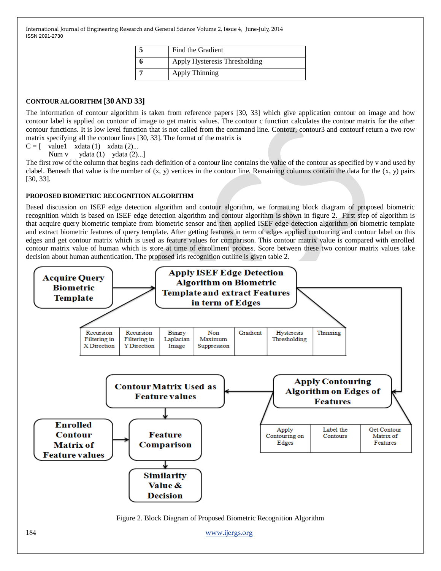| Find the Gradient             |
|-------------------------------|
| Apply Hysteresis Thresholding |
| <b>Apply Thinning</b>         |

## **CONTOUR ALGORITHM [30 AND 33]**

The information of contour algorithm is taken from reference papers [30, 33] which give application contour on image and how contour label is applied on contour of image to get matrix values. The contour c function calculates the contour matrix for the other contour functions. It is low level function that is not called from the command line. Contour, contour3 and contourf return a two row matrix specifying all the contour lines [30, 33]. The format of the matrix is

 $C = \begin{bmatrix} \text{value1} & \text{xdata} & (1) & \text{xdata} & (2) \dots \end{bmatrix}$ 

Num v ydata (1) ydata (2)...]

The first row of the column that begins each definition of a contour line contains the value of the contour as specified by v and used by clabel. Beneath that value is the number of  $(x, y)$  vertices in the contour line. Remaining columns contain the data for the  $(x, y)$  pairs [30, 33].

#### **PROPOSED BIOMETRIC RECOGNITION ALGORITHM**

Based discussion on ISEF edge detection algorithm and contour algorithm, we formatting block diagram of proposed biometric recognition which is based on ISEF edge detection algorithm and contour algorithm is shown in figure 2. First step of algorithm is that acquire query biometric template from biometric sensor and then applied ISEF edge detection algorithm on biometric template and extract biometric features of query template. After getting features in term of edges applied contouring and contour label on this edges and get contour matrix which is used as feature values for comparison. This contour matrix value is compared with enrolled contour matrix value of human which is store at time of enrollment process. Score between these two contour matrix values take decision about human authentication. The proposed iris recognition outline is given table 2.

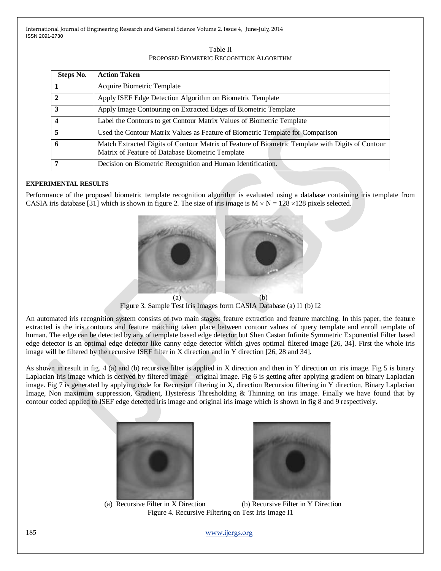Table II PROPOSED BIOMETRIC RECOGNITION ALGORITHM

| Steps No.               | <b>Action Taken</b>                                                                                                                                  |
|-------------------------|------------------------------------------------------------------------------------------------------------------------------------------------------|
|                         | Acquire Biometric Template                                                                                                                           |
| $\overline{2}$          | Apply ISEF Edge Detection Algorithm on Biometric Template                                                                                            |
| $\overline{\mathbf{3}}$ | Apply Image Contouring on Extracted Edges of Biometric Template                                                                                      |
| $\overline{\mathbf{4}}$ | Label the Contours to get Contour Matrix Values of Biometric Template                                                                                |
| $\overline{\mathbf{5}}$ | Used the Contour Matrix Values as Feature of Biometric Template for Comparison                                                                       |
| 6                       | Match Extracted Digits of Contour Matrix of Feature of Biometric Template with Digits of Contour<br>Matrix of Feature of Database Biometric Template |
|                         | Decision on Biometric Recognition and Human Identification.                                                                                          |

#### **EXPERIMENTAL RESULTS**

Performance of the proposed biometric template recognition algorithm is evaluated using a database containing iris template from CASIA iris database [31] which is shown in figure 2. The size of iris image is  $M \times N = 128 \times 128$  pixels selected.



Figure 3. Sample Test Iris Images form CASIA Database (a) I1 (b) I2

An automated iris recognition system consists of two main stages: feature extraction and feature matching. In this paper, the feature extracted is the iris contours and feature matching taken place between contour values of query template and enroll template of human. The edge can be detected by any of template based edge detector but Shen Castan Infinite Symmetric Exponential Filter based edge detector is an optimal edge detector like canny edge detector which gives optimal filtered image [26, 34]. First the whole iris image will be filtered by the recursive ISEF filter in X direction and in Y direction [26, 28 and 34].

As shown in result in fig. 4 (a) and (b) recursive filter is applied in X direction and then in Y direction on iris image. Fig 5 is binary Laplacian iris image which is derived by filtered image – original image. Fig 6 is getting after applying gradient on binary Laplacian image. Fig 7 is generated by applying code for Recursion filtering in X, direction Recursion filtering in Y direction, Binary Laplacian Image, Non maximum suppression, Gradient, Hysteresis Thresholding & Thinning on iris image. Finally we have found that by contour coded applied to ISEF edge detected iris image and original iris image which is shown in fig 8 and 9 respectively.





(a) Recursive Filter in X Direction (b) Recursive Filter in Y Direction Figure 4. Recursive Filtering on Test Iris Image I1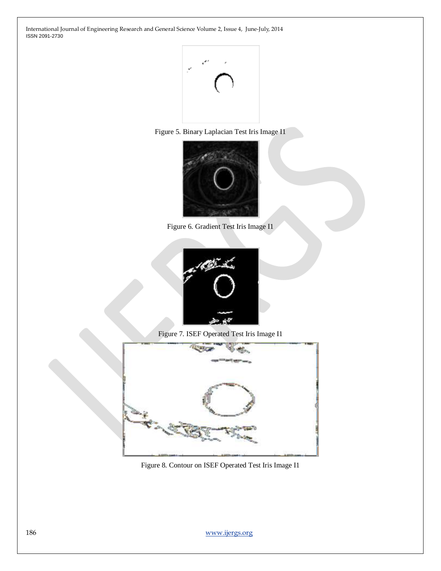





Figure 6. Gradient Test Iris Image I1



Figure 7. ISEF Operated Test Iris Image I1



Figure 8. Contour on ISEF Operated Test Iris Image I1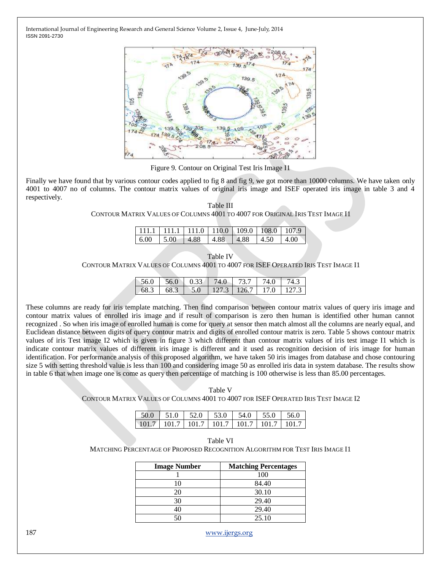

Figure 9. Contour on Original Test Iris Image I1

Finally we have found that by various contour codes applied to fig 8 and fig 9, we got more than 10000 columns. We have taken only 4001 to 4007 no of columns. The contour matrix values of original iris image and ISEF operated iris image in table 3 and 4 respectively.

|                                                                               | Table III |  |
|-------------------------------------------------------------------------------|-----------|--|
| CONTOUR MATRIX VALUES OF COLUMNS 4001 TO 4007 FOR ORIGINAL IRIS TEST IMAGE I1 |           |  |

|  |  | $\boxed{111.1 \begin{bmatrix} 111.1 & 111.0 & 110.0 & 109.0 & 108.0 & 107.9 \end{bmatrix}}$ |  |
|--|--|---------------------------------------------------------------------------------------------|--|
|  |  |                                                                                             |  |
|  |  | $\mid 6.00 \mid 5.00 \mid 4.88 \mid 4.88 \mid 4.88 \mid 4.50 \mid 4.00$                     |  |
|  |  |                                                                                             |  |

| <sup>r</sup> able IV |  |
|----------------------|--|
|                      |  |

CONTOUR MATRIX VALUES OF COLUMNS 4001 TO 4007 FOR ISEF OPERATED IRIS TEST IMAGE I1

| 56 O |        | 56.0 0.33 74.0 | 173.7 <sub>1</sub> | 1740 |  |
|------|--------|----------------|--------------------|------|--|
|      | $68 -$ |                |                    |      |  |

These columns are ready for iris template matching. Then find comparison between contour matrix values of query iris image and contour matrix values of enrolled iris image and if result of comparison is zero then human is identified other human cannot recognized . So when iris image of enrolled human is come for query at sensor then match almost all the columns are nearly equal, and Euclidean distance between digits of query contour matrix and digits of enrolled contour matrix is zero. Table 5 shows contour matrix values of iris Test image I2 which is given in figure 3 which different than contour matrix values of iris test image I1 which is indicate contour matrix values of different iris image is different and it used as recognition decision of iris image for human identification. For performance analysis of this proposed algorithm, we have taken 50 iris images from database and chose contouring size 5 with setting threshold value is less than 100 and considering image 50 as enrolled iris data in system database. The results show in table 6 that when image one is come as query then percentage of matching is 100 otherwise is less than 85.00 percentages.

Table V CONTOUR MATRIX VALUES OF COLUMNS 4001 TO 4007 FOR ISEF OPERATED IRIS TEST IMAGE I2

| $\mid$ 101.7   101.7   101.7   101.7   101.7   101.7   101.7 |  |  |  |
|--------------------------------------------------------------|--|--|--|

| Table VI                                                                     |
|------------------------------------------------------------------------------|
| Matching Percentage of Proposed Recognition Algorithm for Test Iris Image I1 |

| <b>Image Number</b> | <b>Matching Percentages</b> |
|---------------------|-----------------------------|
|                     | 100                         |
| 10                  | 84.40                       |
| 20                  | 30.10                       |
| 30                  | 29.40                       |
| 40                  | 29.40                       |
|                     | 25.10                       |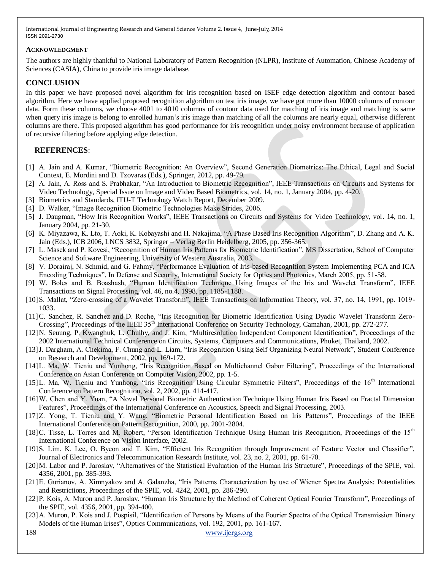#### **ACKNOWLEDGMENT**

The authors are highly thankful to National Laboratory of Pattern Recognition (NLPR), Institute of Automation, Chinese Academy of Sciences (CASIA), China to provide iris image database.

## **CONCLUSION**

In this paper we have proposed novel algorithm for iris recognition based on ISEF edge detection algorithm and contour based algorithm. Here we have applied proposed recognition algorithm on test iris image, we have got more than 10000 columns of contour data. Form these columns, we choose 4001 to 4010 columns of contour data used for matching of iris image and matching is same when query iris image is belong to enrolled human's iris image than matching of all the columns are nearly equal, otherwise different columns are there. This proposed algorithm has good performance for iris recognition under noisy environment because of application of recursive filtering before applying edge detection.

## **REFERENCES**:

- [1] A. Jain and A. Kumar, "Biometric Recognition: An Overview", Second Generation Biometrics: The Ethical, Legal and Social Context, E. Mordini and D. Tzovaras (Eds.), Springer, 2012, pp. 49-79.
- [2] A. Jain, A. Ross and S. Prabhakar, "An Introduction to Biometric Recognition", IEEE Transactions on Circuits and Systems for Video Technology, Special Issue on Image and Video Based Biometrics, vol. 14, no. 1, January 2004, pp. 4-20.
- [3] Biometrics and Standards, ITU-T Technology Watch Report, December 2009.
- [4] D. Walker, "Image Recognition Biometric Technologies Make Strides, 2006.
- [5] J. Daugman, "How Iris Recognition Works", IEEE Transactions on Circuits and Systems for Video Technology, vol. 14, no. 1, January 2004, pp. 21-30.
- [6] K. Miyazawa, K. Lto, T. Aoki, K. Kobayashi and H. Nakajima, "A Phase Based Iris Recognition Algorithm", D. Zhang and A. K. Jain (Eds.), ICB 2006, LNCS 3832, Springer – Verlag Berlin Heidelberg, 2005, pp. 356-365.
- [7] L. Masek and P. Kovesi, "Recognition of Human Iris Patterns for Biometric Identification", MS Dissertation, School of Computer Science and Software Engineering, University of Western Australia, 2003.
- [8] V. Dorairaj, N. Schmid, and G. Fahmy, "Performance Evaluation of Iris-based Recognition System Implementing PCA and ICA Encoding Techniques", In Defense and Security, International Society for Optics and Photonics, March 2005, pp. 51-58.
- [9] W. Boles and B. Boashash, "Human Identification Technique Using Images of the Iris and Wavelet Transform", IEEE Transactions on Signal Processing, vol. 46, no.4, 1998, pp. 1185-1188.
- [10] S. Mallat, "Zero-crossing of a Wavelet Transform", IEEE Transactions on Information Theory, vol. 37, no. 14, 1991, pp. 1019-1033.
- [11]C. Sanchez, R. Sanchez and D. Roche, "Iris Recognition for Biometric Identification Using Dyadic Wavelet Transform Zero-Crossing", Proceedings of the IEEE 35<sup>th</sup> International Conference on Security Technology, Camahan, 2001, pp. 272-277.
- [12]N. Seuung, P. Kwanghuk, L. Chulhy, and J. Kim, "Multiresolution Independent Component Identification", Proceedings of the 2002 International Technical Conference on Circuits, Systems, Computers and Communications, Phuket, Thailand, 2002.
- [13] J. Dargham, A. Chekima, F. Chung and L. Liam, "Iris Recognition Using Self Organizing Neural Network", Student Conference on Research and Development, 2002, pp. 169-172.
- [14] L. Ma, W. Tieniu and Yunhong, "Iris Recognition Based on Multichannel Gabor Filtering", Proceedings of the International Conference on Asian Conference on Computer Vision, 2002, pp. 1-5.
- $[15]$ L. Ma, W. Tieniu and Yunhong, "Iris Recognition Using Circular Symmetric Filters", Proceedings of the  $16<sup>th</sup>$  International Conference on Pattern Recognition, vol. 2, 2002, pp. 414-417.
- [16] W. Chen and Y. Yuan, "A Novel Personal Biometric Authentication Technique Using Human Iris Based on Fractal Dimension Features", Proceedings of the International Conference on Acoustics, Speech and Signal Processing, 2003.
- [17]Z. Yong, T. Tieniu and Y. Wang, "Biometric Personal Identification Based on Iris Patterns", Proceedings of the IEEE International Conference on Pattern Recognition, 2000, pp. 2801-2804.
- [18] C. Tisse, L. Torres and M. Robert, "Person Identification Technique Using Human Iris Recognition, Proceedings of the 15<sup>th</sup> International Conference on Vision Interface, 2002.
- [19] S. Lim, K. Lee, O. Byeon and T. Kim, "Efficient Iris Recognition through Improvement of Feature Vector and Classifier". Journal of Electronics and Telecommunication Research Institute, vol. 23, no. 2, 2001, pp. 61-70.
- [20] M. Labor and P. Jaroslav, "Alternatives of the Statistical Evaluation of the Human Iris Structure", Proceedings of the SPIE, vol. 4356, 2001, pp. 385-393.
- [21] E. Gurianov, A. Ximnyakov and A. Galanzha, "Iris Patterns Characterization by use of Wiener Spectra Analysis: Potentialities and Restrictions, Proceedings of the SPIE, vol. 4242, 2001, pp. 286-290.
- [22] P. Kois, A. Muron and P. Jaroslav, "Human Iris Structure by the Method of Coherent Optical Fourier Transform", Proceedings of the SPIE, vol. 4356, 2001, pp. 394-400.
- [23] A. Muron, P. Kois and J. Pospisil, "Identification of Persons by Means of the Fourier Spectra of the Optical Transmission Binary Models of the Human Irises", Optics Communications, vol. 192, 2001, pp. 161-167.
-